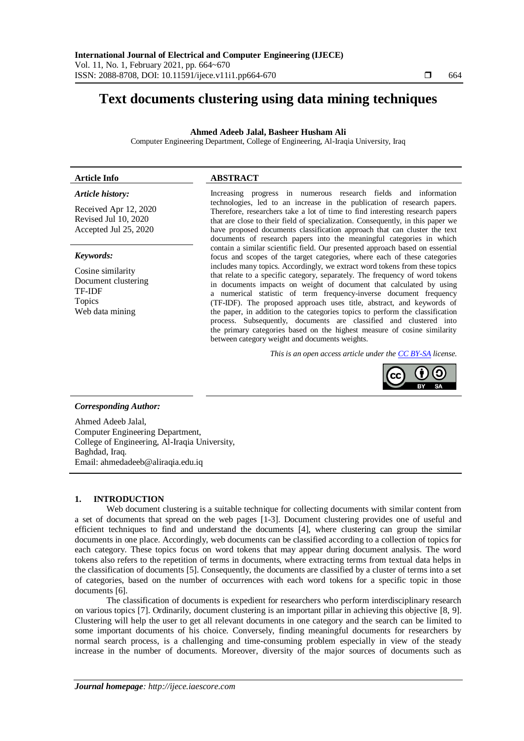# **Text documents clustering using data mining techniques**

#### **Ahmed Adeeb Jalal, Basheer Husham Ali**

Computer Engineering Department, College of Engineering, Al-Iraqia University, Iraq

#### **Article Info ABSTRACT**

#### *Article history:*

Received Apr 12, 2020 Revised Jul 10, 2020 Accepted Jul 25, 2020

#### *Keywords:*

Cosine similarity Document clustering TF-IDF Topics Web data mining

Increasing progress in numerous research fields and information technologies, led to an increase in the publication of research papers. Therefore, researchers take a lot of time to find interesting research papers that are close to their field of specialization. Consequently, in this paper we have proposed documents classification approach that can cluster the text documents of research papers into the meaningful categories in which contain a similar scientific field. Our presented approach based on essential focus and scopes of the target categories, where each of these categories includes many topics. Accordingly, we extract word tokens from these topics that relate to a specific category, separately. The frequency of word tokens in documents impacts on weight of document that calculated by using a numerical statistic of term frequency-inverse document frequency (TF-IDF). The proposed approach uses title, abstract, and keywords of the paper, in addition to the categories topics to perform the classification process. Subsequently, documents are classified and clustered into the primary categories based on the highest measure of cosine similarity between category weight and documents weights.

*This is an open access article under the [CC BY-SA](https://creativecommons.org/licenses/by-sa/4.0/) license.*



## *Corresponding Author:*

Ahmed Adeeb Jalal, Computer Engineering Department, College of Engineering, Al-Iraqia University, Baghdad, Iraq. Email: ahmedadeeb@aliraqia.edu.iq

## **1. INTRODUCTION**

Web document clustering is a suitable technique for collecting documents with similar content from a set of documents that spread on the web pages [1-3]. Document clustering provides one of useful and efficient techniques to find and understand the documents [4], where clustering can group the similar documents in one place. Accordingly, web documents can be classified according to a collection of topics for each category. These topics focus on word tokens that may appear during document analysis. The word tokens also refers to the repetition of terms in documents, where extracting terms from textual data helps in the classification of documents [5]. Consequently, the documents are classified by a cluster of terms into a set of categories, based on the number of occurrences with each word tokens for a specific topic in those documents [6].

The classification of documents is expedient for researchers who perform interdisciplinary research on various topics [7]. Ordinarily, document clustering is an important pillar in achieving this objective [8, 9]. Clustering will help the user to get all relevant documents in one category and the search can be limited to some important documents of his choice. Conversely, finding meaningful documents for researchers by normal search process, is a challenging and time-consuming problem especially in view of the steady increase in the number of documents. Moreover, diversity of the major sources of documents such as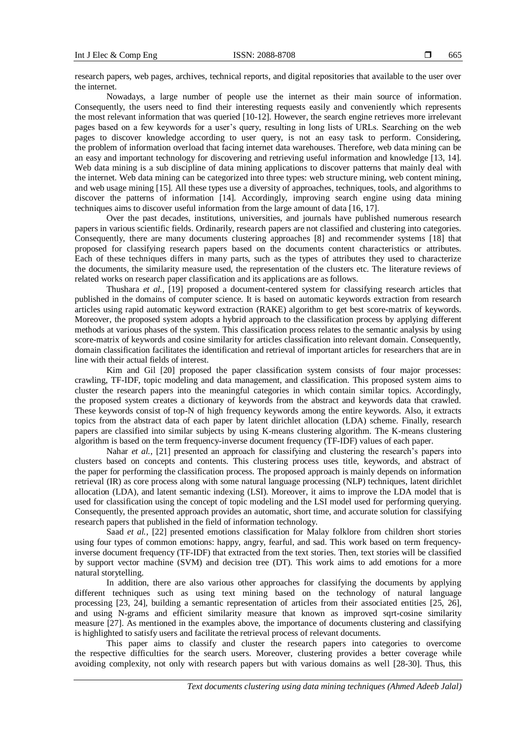research papers, web pages, archives, technical reports, and digital repositories that available to the user over the internet.

Nowadays, a large number of people use the internet as their main source of information. Consequently, the users need to find their interesting requests easily and conveniently which represents the most relevant information that was queried [10-12]. However, the search engine retrieves more irrelevant pages based on a few keywords for a user's query, resulting in long lists of URLs. Searching on the web pages to discover knowledge according to user query, is not an easy task to perform. Considering, the problem of information overload that facing internet data warehouses. Therefore, web data mining can be an easy and important technology for discovering and retrieving useful information and knowledge [13, 14]. Web data mining is a sub discipline of data mining applications to discover patterns that mainly deal with the internet. Web data mining can be categorized into three types: web structure mining, web content mining, and web usage mining [15]. All these types use a diversity of approaches, techniques, tools, and algorithms to discover the patterns of information [14]. Accordingly, improving search engine using data mining techniques aims to discover useful information from the large amount of data [16, 17].

Over the past decades, institutions, universities, and journals have published numerous research papers in various scientific fields. Ordinarily, research papers are not classified and clustering into categories. Consequently, there are many documents clustering approaches [8] and recommender systems [18] that proposed for classifying research papers based on the documents content characteristics or attributes. Each of these techniques differs in many parts, such as the types of attributes they used to characterize the documents, the similarity measure used, the representation of the clusters etc. The literature reviews of related works on research paper classification and its applications are as follows.

Thushara *et al.*, [19] proposed a document-centered system for classifying research articles that published in the domains of computer science. It is based on automatic keywords extraction from research articles using rapid automatic keyword extraction (RAKE) algorithm to get best score-matrix of keywords. Moreover, the proposed system adopts a hybrid approach to the classification process by applying different methods at various phases of the system. This classification process relates to the semantic analysis by using score-matrix of keywords and cosine similarity for articles classification into relevant domain. Consequently, domain classification facilitates the identification and retrieval of important articles for researchers that are in line with their actual fields of interest.

Kim and Gil [20] proposed the paper classification system consists of four major processes: crawling, TF-IDF, topic modeling and data management, and classification. This proposed system aims to cluster the research papers into the meaningful categories in which contain similar topics. Accordingly, the proposed system creates a dictionary of keywords from the abstract and keywords data that crawled. These keywords consist of top-N of high frequency keywords among the entire keywords. Also, it extracts topics from the abstract data of each paper by latent dirichlet allocation (LDA) scheme. Finally, research papers are classified into similar subjects by using K-means clustering algorithm. The K-means clustering algorithm is based on the term frequency-inverse document frequency (TF-IDF) values of each paper.

Nahar *et al.*, [21] presented an approach for classifying and clustering the research's papers into clusters based on concepts and contents. This clustering process uses title, keywords, and abstract of the paper for performing the classification process. The proposed approach is mainly depends on information retrieval (IR) as core process along with some natural language processing (NLP) techniques, latent dirichlet allocation (LDA), and latent semantic indexing (LSI). Moreover, it aims to improve the LDA model that is used for classification using the concept of topic modeling and the LSI model used for performing querying. Consequently, the presented approach provides an automatic, short time, and accurate solution for classifying research papers that published in the field of information technology.

Saad et al., [22] presented emotions classification for Malay folklore from children short stories using four types of common emotions: happy, angry, fearful, and sad. This work based on term frequencyinverse document frequency (TF-IDF) that extracted from the text stories. Then, text stories will be classified by support vector machine (SVM) and decision tree (DT). This work aims to add emotions for a more natural storytelling.

In addition, there are also various other approaches for classifying the documents by applying different techniques such as using text mining based on the technology of natural language processing [23, 24], building a semantic representation of articles from their associated entities [25, 26], and using N-grams and efficient similarity measure that known as improved sqrt-cosine similarity measure [27]. As mentioned in the examples above, the importance of documents clustering and classifying is highlighted to satisfy users and facilitate the retrieval process of relevant documents.

This paper aims to classify and cluster the research papers into categories to overcome the respective difficulties for the search users. Moreover, clustering provides a better coverage while avoiding complexity, not only with research papers but with various domains as well [28-30]. Thus, this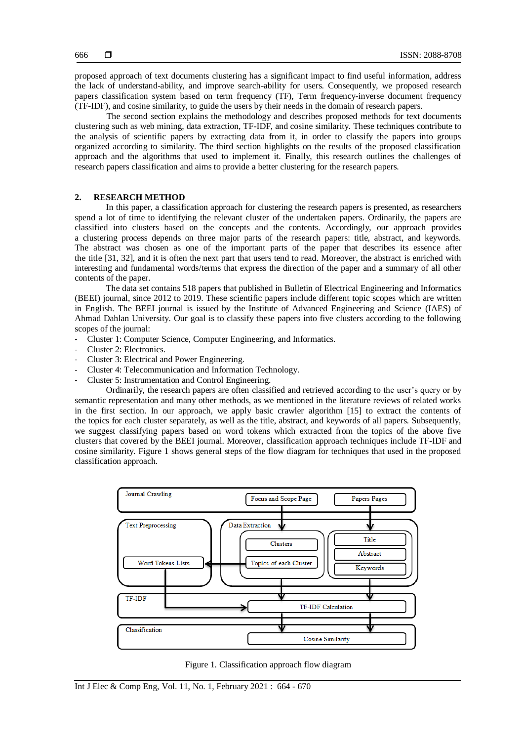proposed approach of text documents clustering has a significant impact to find useful information, address the lack of understand-ability, and improve search-ability for users. Consequently, we proposed research papers classification system based on term frequency (TF), Term frequency-inverse document frequency (TF-IDF), and cosine similarity, to guide the users by their needs in the domain of research papers.

The second section explains the methodology and describes proposed methods for text documents clustering such as web mining, data extraction, TF-IDF, and cosine similarity. These techniques contribute to the analysis of scientific papers by extracting data from it, in order to classify the papers into groups organized according to similarity. The third section highlights on the results of the proposed classification approach and the algorithms that used to implement it. Finally, this research outlines the challenges of research papers classification and aims to provide a better clustering for the research papers.

#### **2. RESEARCH METHOD**

In this paper, a classification approach for clustering the research papers is presented, as researchers spend a lot of time to identifying the relevant cluster of the undertaken papers. Ordinarily, the papers are classified into clusters based on the concepts and the contents. Accordingly, our approach provides a clustering process depends on three major parts of the research papers: title, abstract, and keywords. The abstract was chosen as one of the important parts of the paper that describes its essence after the title [31, 32], and it is often the next part that users tend to read. Moreover, the abstract is enriched with interesting and fundamental words/terms that express the direction of the paper and a summary of all other contents of the paper.

The data set contains 518 papers that published in Bulletin of Electrical Engineering and Informatics (BEEI) journal, since 2012 to 2019. These scientific papers include different topic scopes which are written in English. The BEEI journal is issued by the Institute of Advanced Engineering and Science (IAES) of Ahmad Dahlan University. Our goal is to classify these papers into five clusters according to the following scopes of the journal:

- Cluster 1: Computer Science, Computer Engineering, and Informatics.
- Cluster 2: Electronics.
- Cluster 3: Electrical and Power Engineering.
- Cluster 4: Telecommunication and Information Technology.
- Cluster 5: Instrumentation and Control Engineering.

Ordinarily, the research papers are often classified and retrieved according to the user's query or by semantic representation and many other methods, as we mentioned in the literature reviews of related works in the first section. In our approach, we apply basic crawler algorithm [15] to extract the contents of the topics for each cluster separately, as well as the title, abstract, and keywords of all papers. Subsequently, we suggest classifying papers based on word tokens which extracted from the topics of the above five clusters that covered by the BEEI journal. Moreover, classification approach techniques include TF-IDF and cosine similarity. Figure 1 shows general steps of the flow diagram for techniques that used in the proposed classification approach.



Figure 1. Classification approach flow diagram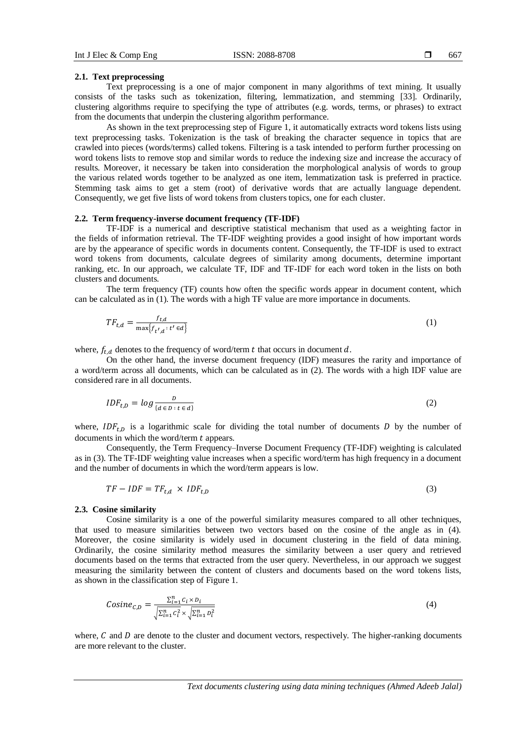#### **2.1. Text preprocessing**

Text preprocessing is a one of major component in many algorithms of text mining. It usually consists of the tasks such as tokenization, filtering, lemmatization, and stemming [33]. Ordinarily, clustering algorithms require to specifying the type of attributes (e.g. words, terms, or phrases) to extract from the documents that underpin the clustering algorithm performance.

As shown in the text preprocessing step of Figure 1, it automatically extracts word tokens lists using text preprocessing tasks. Tokenization is the task of breaking the character sequence in topics that are crawled into pieces (words/terms) called tokens. Filtering is a task intended to perform further processing on word tokens lists to remove stop and similar words to reduce the indexing size and increase the accuracy of results. Moreover, it necessary be taken into consideration the morphological analysis of words to group the various related words together to be analyzed as one item, lemmatization task is preferred in practice. Stemming task aims to get a stem (root) of derivative words that are actually language dependent. Consequently, we get five lists of word tokens from clusters topics, one for each cluster.

#### **2.2. Term frequency-inverse document frequency (TF-IDF)**

TF-IDF is a numerical and descriptive statistical mechanism that used as a weighting factor in the fields of information retrieval. The TF-IDF weighting provides a good insight of how important words are by the appearance of specific words in documents content. Consequently, the TF-IDF is used to extract word tokens from documents, calculate degrees of similarity among documents, determine important ranking, etc. In our approach, we calculate TF, IDF and TF-IDF for each word token in the lists on both clusters and documents.

The term frequency (TF) counts how often the specific words appear in document content, which can be calculated as in (1). The words with a high TF value are more importance in documents.

$$
TF_{t,d} = \frac{f_{t,d}}{\max\{f_{t',d}:t'\in d\}}\tag{1}
$$

where,  $f_{t,d}$  denotes to the frequency of word/term t that occurs in document d.

On the other hand, the inverse document frequency (IDF) measures the rarity and importance of a word/term across all documents, which can be calculated as in (2). The words with a high IDF value are considered rare in all documents.

$$
IDF_{t,D} = \log \frac{D}{\{d \in D : t \in d\}}
$$
\n<sup>(2)</sup>

where,  $IDF_{t,D}$  is a logarithmic scale for dividing the total number of documents D by the number of documents in which the word/term  $t$  appears.

Consequently, the Term Frequency–Inverse Document Frequency (TF-IDF) weighting is calculated as in (3). The TF-IDF weighting value increases when a specific word/term has high frequency in a document and the number of documents in which the word/term appears is low.

$$
TF - IDF = TF_{t,d} \times IDF_{t,D} \tag{3}
$$

#### **2.3. Cosine similarity**

Cosine similarity is a one of the powerful similarity measures compared to all other techniques, that used to measure similarities between two vectors based on the cosine of the angle as in (4). Moreover, the cosine similarity is widely used in document clustering in the field of data mining. Ordinarily, the cosine similarity method measures the similarity between a user query and retrieved documents based on the terms that extracted from the user query. Nevertheless, in our approach we suggest measuring the similarity between the content of clusters and documents based on the word tokens lists, as shown in the classification step of Figure 1.

$$
Cosine_{C,D} = \frac{\sum_{i=1}^{n} c_i \times b_i}{\sqrt{\sum_{i=1}^{n} c_i^2} \times \sqrt{\sum_{i=1}^{n} b_i^2}}
$$
(4)

where,  $C$  and  $D$  are denote to the cluster and document vectors, respectively. The higher-ranking documents are more relevant to the cluster.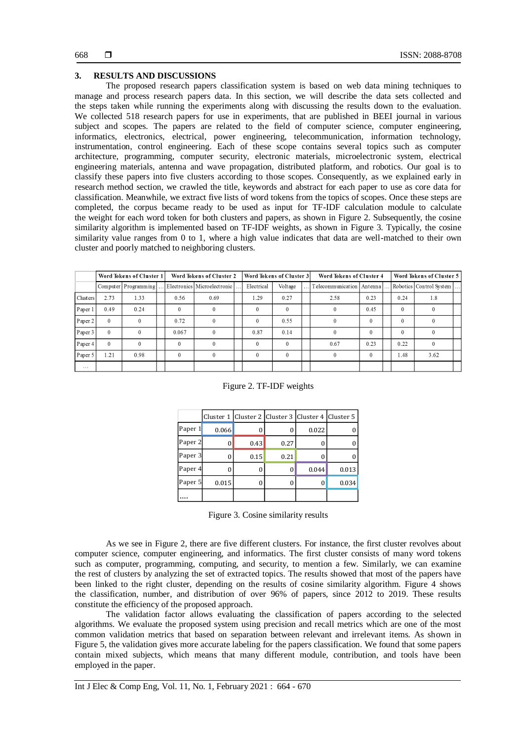# **3. RESULTS AND DISCUSSIONS**

The proposed research papers classification system is based on web data mining techniques to manage and process research papers data. In this section, we will describe the data sets collected and the steps taken while running the experiments along with discussing the results down to the evaluation. We collected 518 research papers for use in experiments, that are published in BEEI journal in various subject and scopes. The papers are related to the field of computer science, computer engineering, informatics, electronics, electrical, power engineering, telecommunication, information technology, instrumentation, control engineering. Each of these scope contains several topics such as computer architecture, programming, computer security, electronic materials, microelectronic system, electrical engineering materials, antenna and wave propagation, distributed platform, and robotics. Our goal is to classify these papers into five clusters according to those scopes. Consequently, as we explained early in research method section, we crawled the title, keywords and abstract for each paper to use as core data for classification. Meanwhile, we extract five lists of word tokens from the topics of scopes. Once these steps are completed, the corpus became ready to be used as input for TF-IDF calculation module to calculate the weight for each word token for both clusters and papers, as shown in Figure 2. Subsequently, the cosine similarity algorithm is implemented based on TF-IDF weights, as shown in Figure 3. Typically, the cosine similarity value ranges from 0 to 1, where a high value indicates that data are well-matched to their own cluster and poorly matched to neighboring clusters.

|          | Word Tokens of Cluster 1 |                      |  | Word Tokens of Cluster 2 |                             |  | Word Tokens of Cluster 3 |              |  | Word Tokens of Cluster 4                                   |              |  | Word Tokens of Cluster 5 |          |  |
|----------|--------------------------|----------------------|--|--------------------------|-----------------------------|--|--------------------------|--------------|--|------------------------------------------------------------|--------------|--|--------------------------|----------|--|
|          |                          | Computer Programming |  |                          | Electronics Microelectronic |  | Electrical               | Voltage      |  | Telecommunication   Antenna      Robotics   Control System |              |  |                          |          |  |
| Clusters | 2.73                     | 1.33                 |  | 0.56                     | 0.69                        |  | 1.29                     | 0.27         |  | 2.58                                                       | 0.23         |  | 0.24                     | 1.8      |  |
| Paper 1  | 0.49                     | 0.24                 |  | $\mathbf{0}$             |                             |  | $\mathbf{0}$             | $\Omega$     |  | $\bf{0}$                                                   | 0.45         |  | $\Omega$                 | $\bf{0}$ |  |
| Paper 2  | $\mathbf{0}$             | $\theta$             |  | 0.72                     | $^{0}$                      |  | $\theta$                 | 0.55         |  | $\theta$                                                   | $\mathbf{0}$ |  | $\theta$                 | $^{0}$   |  |
| Paper 3  | $\theta$                 | $\theta$             |  | 0.067                    | $\Omega$                    |  | 0.87                     | 0.14         |  | $\theta$                                                   | $\Omega$     |  | $\Omega$                 | $\theta$ |  |
| Paper 4  | $\Omega$                 | $\Omega$             |  | $\Omega$                 | $\theta$                    |  | $\Omega$                 | $\Omega$     |  | 0.67                                                       | 0.23         |  | 0.22                     | $\theta$ |  |
| Paper 5  | 1.21                     | 0.98                 |  | $\theta$                 | $\Omega$                    |  | $\theta$                 | $\mathbf{0}$ |  | $\theta$                                                   | $\theta$     |  | 1.48                     | 3.62     |  |
| $\cdots$ |                          |                      |  |                          |                             |  |                          |              |  |                                                            |              |  |                          |          |  |

#### Figure 2. TF-IDF weights

|         |       |      |          | Cluster 1   Cluster 2   Cluster 3   Cluster 4   Cluster 5 |       |
|---------|-------|------|----------|-----------------------------------------------------------|-------|
| Paper 1 | 0.066 | 0    | 0        | 0.022                                                     |       |
| Paper 2 | 0     | 0.43 | 0.27     |                                                           |       |
| Paper 3 | O     | 0.15 | 0.21     |                                                           |       |
| Paper 4 | 0     | 0    | $\Omega$ | 0.044                                                     | 0.013 |
| Paper 5 | 0.015 |      | 0        |                                                           | 0.034 |
|         |       |      |          |                                                           |       |

Figure 3. Cosine similarity results

As we see in Figure 2, there are five different clusters. For instance, the first cluster revolves about computer science, computer engineering, and informatics. The first cluster consists of many word tokens such as computer, programming, computing, and security, to mention a few. Similarly, we can examine the rest of clusters by analyzing the set of extracted topics. The results showed that most of the papers have been linked to the right cluster, depending on the results of cosine similarity algorithm. Figure 4 shows the classification, number, and distribution of over 96% of papers, since 2012 to 2019. These results constitute the efficiency of the proposed approach.

The validation factor allows evaluating the classification of papers according to the selected algorithms. We evaluate the proposed system using precision and recall metrics which are one of the most common validation metrics that based on separation between relevant and irrelevant items. As shown in Figure 5, the validation gives more accurate labeling for the papers classification. We found that some papers contain mixed subjects, which means that many different module, contribution, and tools have been employed in the paper.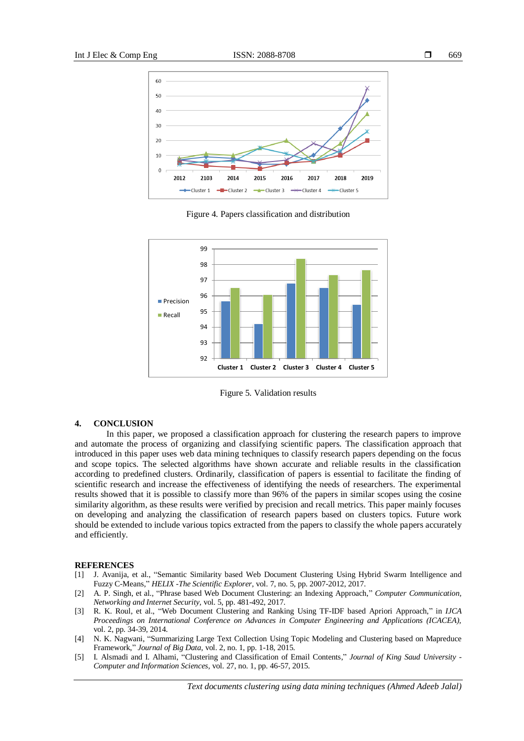

Figure 4. Papers classification and distribution



Figure 5. Validation results

#### **4. CONCLUSION**

In this paper, we proposed a classification approach for clustering the research papers to improve and automate the process of organizing and classifying scientific papers. The classification approach that introduced in this paper uses web data mining techniques to classify research papers depending on the focus and scope topics. The selected algorithms have shown accurate and reliable results in the classification according to predefined clusters. Ordinarily, classification of papers is essential to facilitate the finding of scientific research and increase the effectiveness of identifying the needs of researchers. The experimental results showed that it is possible to classify more than 96% of the papers in similar scopes using the cosine similarity algorithm, as these results were verified by precision and recall metrics. This paper mainly focuses on developing and analyzing the classification of research papers based on clusters topics. Future work should be extended to include various topics extracted from the papers to classify the whole papers accurately and efficiently.

#### **REFERENCES**

- [1] J. Avanija, et al., "Semantic Similarity based Web Document Clustering Using Hybrid Swarm Intelligence and Fuzzy C-Means," *HELIX -The Scientific Explorer,* vol. 7, no. 5, pp. 2007-2012, 2017.
- [2] A. P. Singh, et al., "Phrase based Web Document Clustering: an Indexing Approach," *Computer Communication, Networking and Internet Security,* vol. 5, pp. 481-492, 2017.
- [3] R. K. Roul, et al., "Web Document Clustering and Ranking Using TF-IDF based Apriori Approach," in *IJCA Proceedings on International Conference on Advances in Computer Engineering and Applications (ICACEA),*  vol. 2, pp. 34-39, 2014.
- [4] N. K. Nagwani, "Summarizing Large Text Collection Using Topic Modeling and Clustering based on Mapreduce Framework," *Journal of Big Data,* vol. 2, no. 1, pp. 1-18, 2015.
- [5] I. Alsmadi and I. Alhami, "Clustering and Classification of Email Contents," *Journal of King Saud University - Computer and Information Sciences,* vol. 27, no. 1, pp. 46-57, 2015.